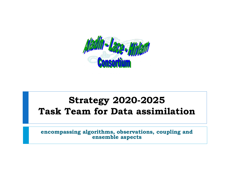

#### **Strategy 2020-2025 Task Team for Data assimilation**

**encompassing algorithms, observations, coupling and ensemble aspects**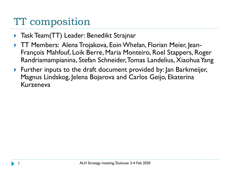# TT composition

- **Task Team(TT) Leader: Benedikt Strajnar**
- TT Members: Alena Trojakova, EoinWhelan, Florian Meier, Jean-François Mahfouf, Loik Berre, Maria Monteiro, Roel Stappers, Roger Randriamampianina, Stefan Schneider, Tomas Landelius, Xiaohua Yang
- Further inputs to the draft document provided by: Jan Barkmeijer, Magnus Lindskog, Jelena Bojarova and Carlos Geijo, Ekaterina Kurzeneva

1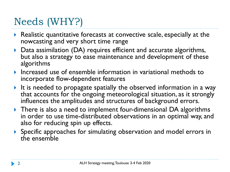# Needs (WHY?)

- ▶ Realistic quantitative forecasts at convective scale, especially at the nowcasting and very short time range
- ▶ Data assimilation (DA) requires efficient and accurate algorithms, but also a strategy to ease maintenance and development of these algorithms
- Increased use of ensemble information in variational methods to incorporate flow-dependent features
- It is needed to propagate spatially the observed information in a way that accounts for the ongoing meteorological situation, as it strongly influences the amplitudes and structures of background errors.
- ▶ There is also a need to implement four-dimensional DA algorithms in order to use time-distributed observations in an optimal way, and also for reducing spin up effects.
- Specific approaches for simulating observation and model errors in the ensemble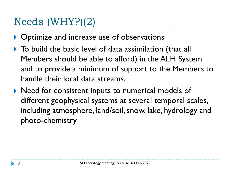# Needs (WHY?)(2)

- ▶ Optimize and increase use of observations
- ▶ To build the basic level of data assimilation (that all Members should be able to afford) in the ALH System and to provide a minimum of support to the Members to handle their local data streams.
- ▶ Need for consistent inputs to numerical models of different geophysical systems at several temporal scales, including atmosphere, land/soil, snow, lake, hydrology and photo-chemistry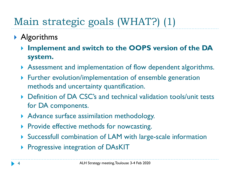# Main strategic goals (WHAT?) (1)

- **Algorithms** 
	- **Implement and switch to the OOPS version of the DA system.**
	- Assessment and implementation of flow dependent algorithms.
	- Further evolution/implementation of ensemble generation methods and uncertainty quantification.
	- ▶ Definition of DA CSC's and technical validation tools/unit tests for DA components.
	- Advance surface assimilation methodology.
	- $\triangleright$  Provide effective methods for nowcasting.
	- Successfull combination of LAM with large-scale information
	- **Progressive integration of DAsKIT**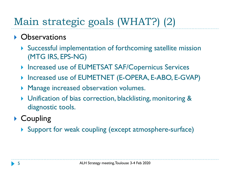# Main strategic goals (WHAT?) (2)

#### **• Observations**

- Successful implementation of forthcoming satellite mission (MTG IRS, EPS-NG)
- ▶ Increased use of EUMETSAT SAF/Copernicus Services
- ▶ Increased use of EUMETNET (E-OPERA, E-ABO, E-GVAP)
- **Manage increased observation volumes.**
- ▶ Unification of bias correction, blacklisting, monitoring & diagnostic tools.

#### ▶ Coupling

▶ Support for weak coupling (except atmosphere-surface)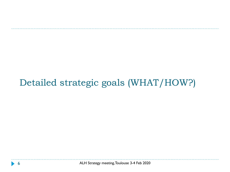### Detailed strategic goals (WHAT/HOW?)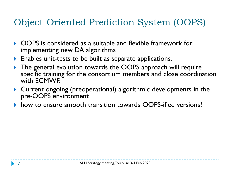### Object-Oriented Prediction System (OOPS)

- OOPS is considered as a suitable and flexible framework for implementing new DA algorithms
- **Enables unit-tests to be built as separate applications.**
- The general evolution towards the OOPS approach will require specific training for the consortium members and close coordination with ECMWF.
- Current ongoing (preoperational) algorithmic developments in the pre-OOPS environment
- how to ensure smooth transition towards OOPS-ified versions?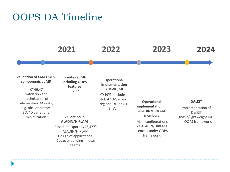#### OOPS DA Timeline



#### **Validation of LAM OOPS components at MF**

CY46,47 validation and optimization of elementary DA units, e.g. obs. operators, 3D/4D variational minimization.

**E-suites at MF including OOPS features** CY ??

**Operational implementation ECMWF, MF** CY49??. Includes global 4D-Var and regional 3D or 4D EnVar

#### **Validation in ALADIN/HIRLAM**

Based on export CY46,47?? ALADIN/HIRLAM Design of applications. Capacity building in local teams.

**Operational implementation in ALADIN/HIRLAM members**

Main configurations of ALADIN/HIRLAM centres under OOPS framework.

#### **DAsKIT**

Implementation of DasKIT (basic/lightweight DA) in OOPS framework.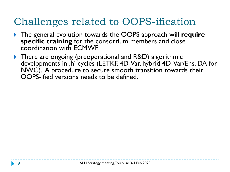# Challenges related to OOPS-ification

- The general evolution towards the OOPS approach will **require specific training** for the consortium members and close coordination with ECMWF.
- ▶ There are ongoing (preoperational and R&D) algorithmic developments in ,h' cycles (LETKF, 4D-Var, hybrid 4D-Var/Ens, DA for NWC). A procedure to secure smooth transition towards their OOPS-ified versions needs to be defined.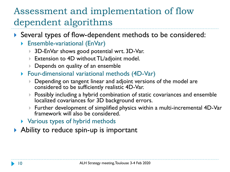### Assessment and implementation of flow dependent algorithms

- Several types of flow-dependent methods to be considered:
	- Ensemble-variational (EnVar)
		- ▶ 3D-EnVar shows good potential wrt. 3D-Var.
		- ▶ Extension to 4D without TL/adjoint model.
		- Depends on quality of an ensemble
	- Four-dimensional variational methods (4D-Var)
		- Depending on tangent linear and adjoint versions of the model are considered to be sufficiently realistic 4D-Var.
		- $\blacktriangleright$  Possibly including a hybrid combination of static covariances and ensemble localized covariances for 3D background errors.
		- Further development of simplified physics within a multi-incremental 4D-Var framework will also be considered.
	- **Number** Yarious types of hybrid methods
- Ability to reduce spin-up is important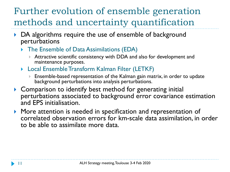### Further evolution of ensemble generation methods and uncertainty quantification

- ▶ DA algorithms require the use of ensemble of background perturbations
	- The Ensemble of Data Assimilations (EDA)
		- Attractive scientific consistency with DDA and also for development and maintenance purposes.
	- ▶ Local Ensemble Transform Kalman Filter (LETKF)
		- Ensemble-based representation of the Kalman gain matrix, in order to update background perturbations into analysis perturbations.
- Comparison to identify best method for generating initial perturbations associated to background error covariance estimation and EPS initialisation.
- **More attention is needed in specification and representation of** correlated observation errors for km-scale data assimilation, in order to be able to assimilate more data.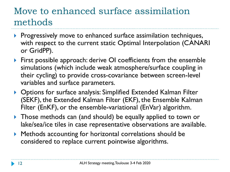#### Move to enhanced surface assimilation methods

- Progressively move to enhanced surface assimilation techniques, with respect to the current static Optimal Interpolation (CANARI or GridPP).
- **First possible approach: derive OI coefficients from the ensemble** simulations (which include weak atmosphere/surface coupling in their cycling) to provide cross-covariance between screen-level variables and surface parameters.
- ▶ Options for surface analysis: Simplified Extended Kalman Filter (SEKF), the Extended Kalman Filter (EKF), the Ensemble Kalman Filter (EnKF), or the ensemble-variational (EnVar) algorithm.
- **Those methods can (and should) be equally applied to town or** lake/sea/ice tiles in case representative observations are available.
- Methods accounting for horizontal correlations should be considered to replace current pointwise algorithms.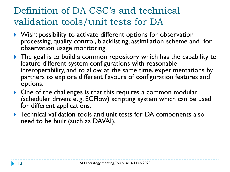## Definition of DA CSC's and technical validation tools/unit tests for DA

- Wish: possibility to activate different options for observation processing, quality control, blacklisting, assimilation scheme and for observation usage monitoring.
- The goal is to build a common repository which has the capability to feature different system configurations with reasonable interoperability, and to allow, at the same time, experimentations by partners to explore different flavours of configuration features and options.
- ▶ One of the challenges is that this requires a common modular (scheduler driven; e. g. ECFlow) scripting system which can be used for different applications.
- **Technical validation tools and unit tests for DA components also** need to be built (such as DAVAI).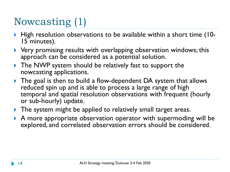# Nowcasting (1)

- High resolution observations to be available within a short time (10-15 minutes).
- Very promising results with overlapping observation windows; this approach can be considered as a potential solution.
- ▶ The NWP system should be relatively fast to support the nowcasting applications.
- ▶ The goal is then to build a flow-dependent DA system that allows reduced spin up and is able to process a large range of high temporal and spatial resolution observations with frequent (hourly or sub-hourly) update.
- **The system might be applied to relatively small target areas.**
- A more appropriate observation operator with supermoding will be explored, and correlated observation errors should be considered.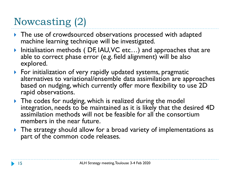# Nowcasting (2)

- **The use of crowdsourced observations processed with adapted** machine learning technique will be investigated.
- ▶ Initialisation methods (DF, IAU, VC etc...) and approaches that are able to correct phase error (e.g. field alignment) will be also explored.
- **For initialization of very rapidly updated systems, pragmatic** alternatives to variational/ensemble data assimilation are approaches based on nudging, which currently offer more flexibility to use 2D rapid observations.
- The codes for nudging, which is realized during the model integration, needs to be maintained as it is likely that the desired 4D assimilation methods will not be feasible for all the consortium members in the near future.
- ▶ The strategy should allow for a broad variety of implementations as part of the common code releases.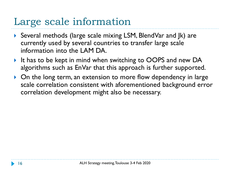# Large scale information

- ▶ Several methods (large scale mixing LSM, BlendVar and Jk) are currently used by several countries to transfer large scale information into the LAM DA.
- It has to be kept in mind when switching to OOPS and new DA algorithms such as EnVar that this approach is further supported.
- ▶ On the long term, an extension to more flow dependency in large scale correlation consistent with aforementioned background error correlation development might also be necessary.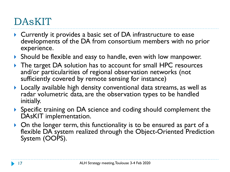# DAsKIT

- ▶ Currently it provides a basic set of DA infrastructure to ease developments of the DA from consortium members with no prior experience.
- Should be flexible and easy to handle, even with low manpower.
- The target DA solution has to account for small HPC resources and/or particularities of regional observation networks (not sufficiently covered by remote sensing for instance)
- Locally available high density conventional data streams, as well as radar volumetric data, are the observation types to be handled initially.
- Specific training on DA science and coding should complement the DAsKIT implementation.
- ▶ On the longer term, this functionality is to be ensured as part of a flexible DA system realized through the Object-Oriented Prediction System (OOPS).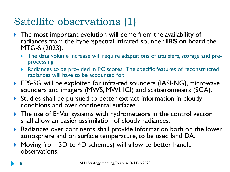# Satellite observations (1)

- **The most important evolution will come from the availability of** radiances from the hyperspectral infrared sounder **IRS** on board the MTG-S (2023).
	- The data volume increase will require adaptations of transfers, storage and preprocessing.
	- ▶ Radiances to be provided in PC scores. The specific features of reconstructed radiances will have to be accounted for.
- ▶ EPS-SG will be exploited for infra-red sounders (IASI-NG), microwave sounders and imagers (MWS, MWI, ICI) and scatterometers (SCA).
- Studies shall be pursued to better extract information in cloudy conditions and over continental surfaces.
- **The use of EnVar systems with hydrometeors in the control vector** shall allow an easier assimilation of cloudy radiances.
- Radiances over continents shall provide information both on the lower atmosphere and on surface temperature, to be used land DA.
- Moving from 3D to 4D schemes) will allow to better handle observations.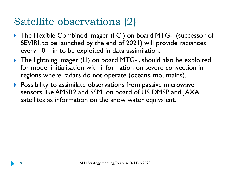# Satellite observations (2)

- ▶ The Flexible Combined Imager (FCI) on board MTG-I (successor of SEVIRI, to be launched by the end of 2021) will provide radiances every 10 min to be exploited in data assimilation.
- ▶ The lightning imager (LI) on board MTG-I, should also be exploited for model initialisation with information on severe convection in regions where radars do not operate (oceans, mountains).
- **Possibility to assimilate observations from passive microwave** sensors like AMSR2 and SSMI on board of US DMSP and JAXA satellites as information on the snow water equivalent.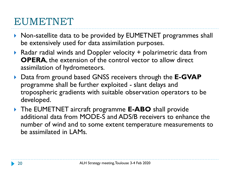## EUMETNET

- ▶ Non-satellite data to be provided by EUMETNET programmes shall be extensively used for data assimilation purposes.
- ▶ Radar radial winds and Doppler velocity + polarimetric data from **OPERA**, the extension of the control vector to allow direct assimilation of hydrometeors.
- Data from ground based GNSS receivers through the **E-GVAP** programme shall be further exploited - slant delays and tropospheric gradients with suitable observation operators to be developed.
- The EUMETNET aircraft programme **E-ABO** shall provide additional data from MODE-S and ADS/B receivers to enhance the number of wind and to some extent temperature measurements to be assimilated in LAMs.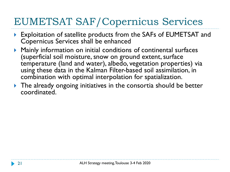# EUMETSAT SAF/Copernicus Services

- Exploitation of satellite products from the SAFs of EUMETSAT and Copernicus Services shall be enhanced
- Mainly information on initial conditions of continental surfaces (superficial soil moisture, snow on ground extent, surface temperature (land and water), albedo, vegetation properties) via using these data in the Kalman Filter-based soil assimilation, in combination with optimal interpolation for spatialization.
- ▶ The already ongoing initiatives in the consortia should be better coordinated.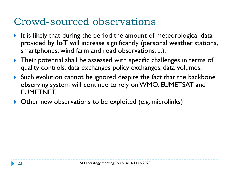# Crowd-sourced observations

- It is likely that during the period the amount of meteorological data provided by **IoT** will increase significantly (personal weather stations, smartphones, wind farm and road observations, ...).
- ▶ Their potential shall be assessed with specific challenges in terms of quality controls, data exchanges policy exchanges, data volumes.
- Such evolution cannot be ignored despite the fact that the backbone observing system will continue to rely on WMO, EUMETSAT and EUMETNET.
- ▶ Other new observations to be exploited (e.g. microlinks)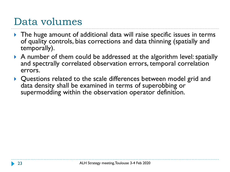## Data volumes

- ▶ The huge amount of additional data will raise specific issues in terms of quality controls, bias corrections and data thinning (spatially and temporally).
- A number of them could be addressed at the algorithm level: spatially and spectrally correlated observation errors, temporal correlation errors.
- ▶ Questions related to the scale differences between model grid and data density shall be examined in terms of superobbing or supermodding within the observation operator definition.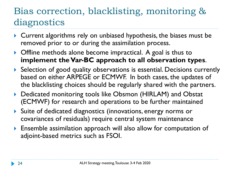### Bias correction, blacklisting, monitoring & diagnostics

- Current algorithms rely on unbiased hypothesis, the biases must be removed prior to or during the assimilation process.
- ▶ Offline methods alone become impractical. A goal is thus to **implement the Var-BC approach to all observation types**.
- ▶ Selection of good quality observations is essential. Decisions currently based on either ARPEGE or ECMWF. In both cases, the updates of the blacklisting choices should be regularly shared with the partners.
- ▶ Dedicated monitoring tools like Obsmon (HIRLAM) and Obstat (ECMWF) for research and operations to be further maintained
- Suite of dedicated diagnostics (innovations, energy norms or covariances of residuals) require central system maintenance
- Ensemble assimilation approach will also allow for computation of adjoint-based metrics such as FSOI.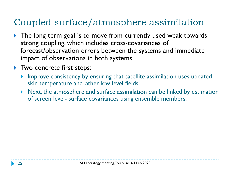## Coupled surface/atmosphere assimilation

- ▶ The long-term goal is to move from currently used weak towards strong coupling, which includes cross-covariances of forecast/observation errors between the systems and immediate impact of observations in both systems.
- Two concrete first steps:
	- Improve consistency by ensuring that satellite assimilation uses updated skin temperature and other low level fields.
	- Next, the atmosphere and surface assimilation can be linked by estimation of screen level- surface covariances using ensemble members.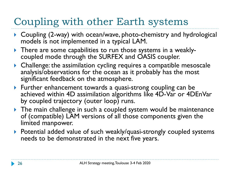# Coupling with other Earth systems

- ▶ Coupling (2-way) with ocean/wave, photo-chemistry and hydrological models is not implemented in a typical LAM.
- There are some capabilities to run those systems in a weaklycoupled mode through the SURFEX and OASIS coupler.
- Challenge: the assimilation cycling requires a compatible mesoscale analysis/observations for the ocean as it probably has the most significant feedback on the atmosphere.
- ▶ Further enhancement towards a quasi-strong coupling can be achieved within 4D assimilation algorithms like 4D-Var or 4DEnVar by coupled trajectory (outer loop) runs.
- ▶ The main challenge in such a coupled system would be maintenance of (compatible) LAM versions of all those components given the limited manpower.
- ▶ Potential added value of such weakly/quasi-strongly coupled systems needs to be demonstrated in the next five years.